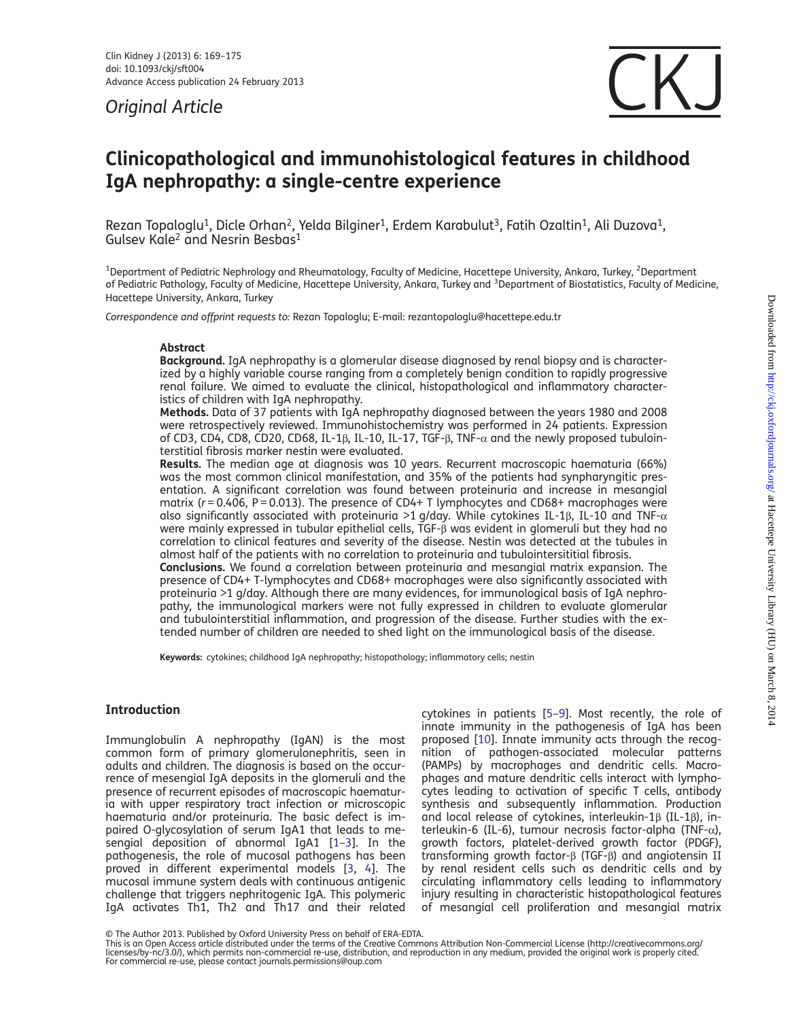Original Article



# Clinicopathological and immunohistological features in childhood IgA nephropathy: a single-centre experience

Rezan Topaloglu<sup>1</sup>, Dicle Orhan<sup>2</sup>, Yelda Bilginer<sup>1</sup>, Erdem Karabulut<sup>3</sup>, Fatih Ozaltin<sup>1</sup>, Ali Duzova<sup>1</sup>, Gulsev Kale<sup>2</sup> and Nesrin Besbas<sup>1</sup>

<sup>1</sup>Department of Pediatric Nephrology and Rheumatology, Faculty of Medicine, Hacettepe University, Ankara, Turkey, <sup>2</sup>Department of Pediatric Pathology, Faculty of Medicine, Hacettepe University, Ankara, Turkey and <sup>3</sup>Department of Biostatistics, Faculty of Medicine, Hacettepe University, Ankara, Turkey

Correspondence and offprint requests to: Rezan Topaloglu; E-mail: rezantopaloglu@hacettepe.edu.tr

#### Abstract

Background. IgA nephropathy is a glomerular disease diagnosed by renal biopsy and is characterized by a highly variable course ranging from a completely benign condition to rapidly progressive renal failure. We aimed to evaluate the clinical, histopathological and inflammatory characteristics of children with IgA nephropathy.

Methods. Data of 37 patients with IgA nephropathy diagnosed between the years 1980 and 2008 were retrospectively reviewed. Immunohistochemistry was performed in 24 patients. Expression of CD3, CD4, CD8, CD20, CD68, IL-1β, IL-10, IL-17, TGF-β, TNF- $\alpha$  and the newly proposed tubulointerstitial fibrosis marker nestin were evaluated.

Results. The median age at diagnosis was 10 years. Recurrent macroscopic haematuria (66%) was the most common clinical manifestation, and 35% of the patients had synpharyngitic presentation. A significant correlation was found between proteinuria and increase in mesangial matrix ( $r = 0.406$ ,  $P = 0.013$ ). The presence of CD4+ T lymphocytes and CD68+ macrophages were also significantly associated with proteinuria >1 g/day. While cytokines IL-1β, IL-10 and TNF- $\alpha$ were mainly expressed in tubular epithelial cells, TGF-β was evident in glomeruli but they had no correlation to clinical features and severity of the disease. Nestin was detected at the tubules in almost half of the patients with no correlation to proteinuria and tubulointersititial fibrosis. Conclusions. We found a correlation between proteinuria and mesangial matrix expansion. The presence of CD4+ T-lymphocytes and CD68+ macrophages were also significantly associated with proteinuria >1 g/day. Although there are many evidences, for immunological basis of IgA nephropathy, the immunological markers were not fully expressed in children to evaluate glomerular and tubulointerstitial inflammation, and progression of the disease. Further studies with the ex-

tended number of children are needed to shed light on the immunological basis of the disease.

Keywords: cytokines; childhood IgA nephropathy; histopathology; inflammatory cells; nestin

# Introduction

Immunglobulin A nephropathy (IgAN) is the most common form of primary glomerulonephritis, seen in adults and children. The diagnosis is based on the occurrence of mesengial IgA deposits in the glomeruli and the presence of recurrent episodes of macroscopic haematuria with upper respiratory tract infection or microscopic haematuria and/or proteinuria. The basic defect is impaired O-glycosylation of serum IgA1 that leads to mesengial deposition of abnormal IgA1 [\[1](#page-5-0)–[3\]](#page-5-0). In the pathogenesis, the role of mucosal pathogens has been proved in different experimental models [\[3](#page-5-0), [4](#page-5-0)]. The mucosal immune system deals with continuous antigenic challenge that triggers nephritogenic IgA. This polymeric IgA activates Th1, Th2 and Th17 and their related

cytokines in patients [[5](#page-5-0)–[9](#page-5-0)]. Most recently, the role of innate immunity in the pathogenesis of IgA has been proposed [[10\]](#page-5-0). Innate immunity acts through the recognition of pathogen-associated molecular patterns (PAMPs) by macrophages and dendritic cells. Macrophages and mature dendritic cells interact with lymphocytes leading to activation of specific T cells, antibody synthesis and subsequently inflammation. Production and local release of cytokines, interleukin-1β (IL-1β), interleukin-6 (IL-6), tumour necrosis factor-alpha (TNF-α), growth factors, platelet-derived growth factor (PDGF), transforming growth factor-β (TGF-β) and angiotensin II by renal resident cells such as dendritic cells and by circulating inflammatory cells leading to inflammatory injury resulting in characteristic histopathological features of mesangial cell proliferation and mesangial matrix

<sup>©</sup> The Author 2013. Published by Oxford University Press on behalf of ERA-EDTA.<br>This is an Open Access article distributed under the terms of the Creative Commons Attribution Non-Commercial License (http://creativecommons.o For commercial re-use, please contact journals.permissions@oup.com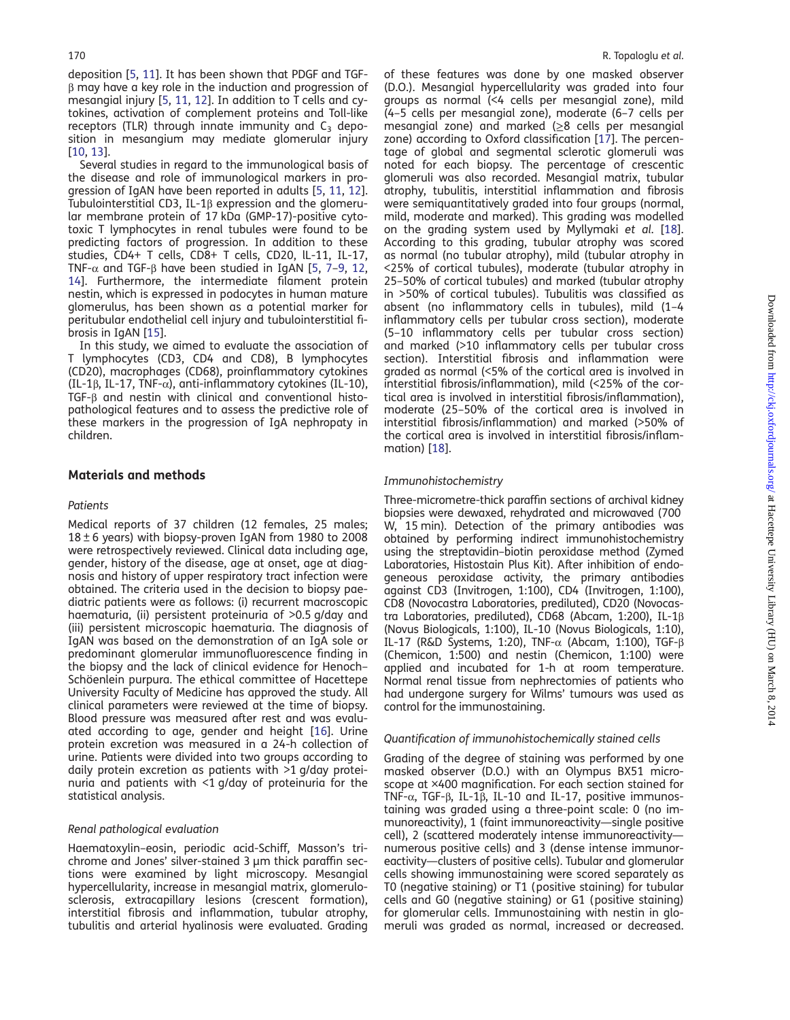deposition [[5,](#page-5-0) [11\]](#page-5-0). It has been shown that PDGF and TGFβ may have a key role in the induction and progression of mesangial injury [[5,](#page-5-0) [11,](#page-5-0) [12\]](#page-5-0). In addition to T cells and cytokines, activation of complement proteins and Toll-like receptors (TLR) through innate immunity and  $C_3$  deposition in mesangium may mediate glomerular injury [[10,](#page-5-0) [13\]](#page-5-0).

Several studies in regard to the immunological basis of the disease and role of immunological markers in progression of IgAN have been reported in adults [\[5](#page-5-0), [11](#page-5-0), [12](#page-5-0)]. Tubulointerstitial CD3, IL-1β expression and the glomerular membrane protein of 17 kDa (GMP-17)-positive cytotoxic T lymphocytes in renal tubules were found to be predicting factors of progression. In addition to these studies, CD4+ T cells, CD8+ T cells, CD20, lL-11, IL-17, TNF-α and TGF-β have been studied in IgAN [[5,](#page-5-0) [7](#page-5-0)–[9](#page-5-0), [12](#page-5-0), [14\]](#page-5-0). Furthermore, the intermediate filament protein nestin, which is expressed in podocytes in human mature glomerulus, has been shown as a potential marker for peritubular endothelial cell injury and tubulointerstitial fibrosis in IgAN [\[15](#page-5-0)].

In this study, we aimed to evaluate the association of T lymphocytes (CD3, CD4 and CD8), B lymphocytes (CD20), macrophages (CD68), proinflammatory cytokines (IL-1β, IL-17, TNF-α), anti-inflammatory cytokines (IL-10), TGF-β and nestin with clinical and conventional histopathological features and to assess the predictive role of these markers in the progression of IgA nephropaty in children.

#### Materials and methods

#### Patients

Medical reports of 37 children (12 females, 25 males;  $18 \pm 6$  years) with biopsy-proven IgAN from 1980 to 2008 were retrospectively reviewed. Clinical data including age, gender, history of the disease, age at onset, age at diagnosis and history of upper respiratory tract infection were obtained. The criteria used in the decision to biopsy paediatric patients were as follows: (i) recurrent macroscopic haematuria, (ii) persistent proteinuria of >0.5 g/day and (iii) persistent microscopic haematuria. The diagnosis of IgAN was based on the demonstration of an IgA sole or predominant glomerular immunofluorescence finding in the biopsy and the lack of clinical evidence for Henoch– Schöenlein purpura. The ethical committee of Hacettepe University Faculty of Medicine has approved the study. All clinical parameters were reviewed at the time of biopsy. Blood pressure was measured after rest and was evaluated according to age, gender and height [[16\]](#page-5-0). Urine protein excretion was measured in a 24-h collection of urine. Patients were divided into two groups according to daily protein excretion as patients with >1 g/day proteinuria and patients with <1 g/day of proteinuria for the statistical analysis.

#### Renal pathological evaluation

Haematoxylin–eosin, periodic acid-Schiff, Masson's trichrome and Jones' silver-stained 3 µm thick paraffin sections were examined by light microscopy. Mesangial hypercellularity, increase in mesangial matrix, glomerulosclerosis, extracapillary lesions (crescent formation), interstitial fibrosis and inflammation, tubular atrophy, tubulitis and arterial hyalinosis were evaluated. Grading

of these features was done by one masked observer (D.O.). Mesangial hypercellularity was graded into four groups as normal (<4 cells per mesangial zone), mild (4–5 cells per mesangial zone), moderate (6–7 cells per mesangial zone) and marked (≥8 cells per mesangial zone) according to Oxford classification [[17](#page-5-0)]. The percentage of global and segmental sclerotic glomeruli was noted for each biopsy. The percentage of crescentic glomeruli was also recorded. Mesangial matrix, tubular atrophy, tubulitis, interstitial inflammation and fibrosis were semiquantitatively graded into four groups (normal, mild, moderate and marked). This grading was modelled on the grading system used by Myllymaki et al. [\[18](#page-5-0)]. According to this grading, tubular atrophy was scored as normal (no tubular atrophy), mild (tubular atrophy in <25% of cortical tubules), moderate (tubular atrophy in 25–50% of cortical tubules) and marked (tubular atrophy in >50% of cortical tubules). Tubulitis was classified as absent (no inflammatory cells in tubules), mild (1–4 inflammatory cells per tubular cross section), moderate (5–10 inflammatory cells per tubular cross section) and marked (>10 inflammatory cells per tubular cross section). Interstitial fibrosis and inflammation were graded as normal (<5% of the cortical area is involved in interstitial fibrosis/inflammation), mild (<25% of the cortical area is involved in interstitial fibrosis/inflammation), moderate (25–50% of the cortical area is involved in interstitial fibrosis/inflammation) and marked (>50% of the cortical area is involved in interstitial fibrosis/inflammation) [[18\]](#page-5-0).

#### Immunohistochemistry

Three-micrometre-thick paraffin sections of archival kidney biopsies were dewaxed, rehydrated and microwaved (700 W, 15 min). Detection of the primary antibodies was obtained by performing indirect immunohistochemistry using the streptavidin–biotin peroxidase method (Zymed Laboratories, Histostain Plus Kit). After inhibition of endogeneous peroxidase activity, the primary antibodies against CD3 (Invitrogen, 1:100), CD4 (Invitrogen, 1:100), CD8 (Novocastra Laboratories, prediluted), CD20 (Novocastra Laboratories, prediluted), CD68 (Abcam, 1:200), IL-1β (Novus Biologicals, 1:100), IL-10 (Novus Biologicals, 1:10), IL-17 (R&D Systems, 1:20), TNF-α (Abcam, 1:100), TGF-β (Chemicon, 1:500) and nestin (Chemicon, 1:100) were applied and incubated for 1-h at room temperature. Normal renal tissue from nephrectomies of patients who had undergone surgery for Wilms' tumours was used as control for the immunostaining.

#### Quantification of immunohistochemically stained cells

Grading of the degree of staining was performed by one masked observer (D.O.) with an Olympus BX51 microscope at ×400 magnification. For each section stained for TNF-α, TGF-β, IL-1β, IL-10 and IL-17, positive immunostaining was graded using a three-point scale: 0 (no immunoreactivity), 1 (faint immunoreactivity—single positive cell), 2 (scattered moderately intense immunoreactivity numerous positive cells) and 3 (dense intense immunoreactivity—clusters of positive cells). Tubular and glomerular cells showing immunostaining were scored separately as T0 (negative staining) or T1 (positive staining) for tubular cells and G0 (negative staining) or G1 (positive staining) for glomerular cells. Immunostaining with nestin in glomeruli was graded as normal, increased or decreased.

Downloaded from <http://ckj.oxfordjournals.org/> at Hacettepe University Library (HU) on March  $8,2014$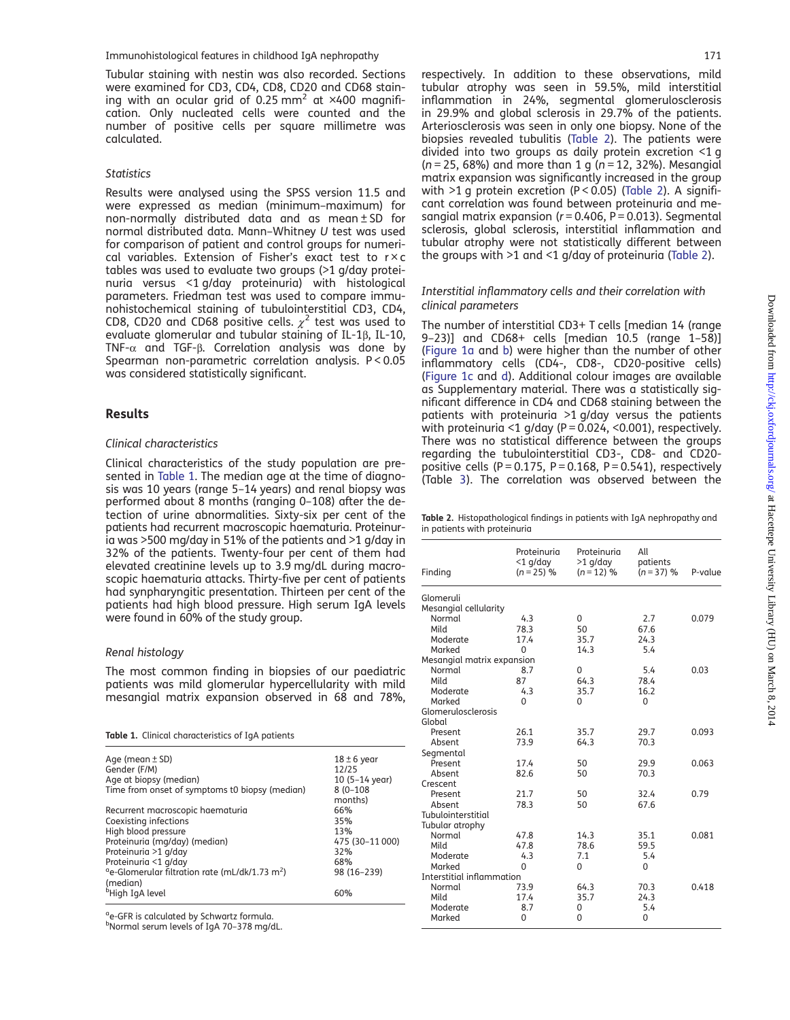<span id="page-2-0"></span>Tubular staining with nestin was also recorded. Sections were examined for CD3, CD4, CD8, CD20 and CD68 staining with an ocular grid of  $0.25$  mm<sup>2</sup> at  $\times$ 400 magnification. Only nucleated cells were counted and the number of positive cells per square millimetre was calculated.

#### **Statistics**

Results were analysed using the SPSS version 11.5 and were expressed as median (minimum–maximum) for non-normally distributed data and as mean ± SD for normal distributed data. Mann–Whitney U test was used for comparison of patient and control groups for numerical variables. Extension of Fisher's exact test to  $r \times c$ tables was used to evaluate two groups (>1 g/day proteinuria versus <1 g/day proteinuria) with histological parameters. Friedman test was used to compare immunohistochemical staining of tubulointerstitial CD3, CD4, CD8, CD20 and CD68 positive cells.  $\chi^2$  test was used to evaluate glomerular and tubular staining of IL-1β, IL-10, TNF-α and TGF-β. Correlation analysis was done by Spearman non-parametric correlation analysis. P < 0.05 was considered statistically significant.

#### Results

#### Clinical characteristics

Clinical characteristics of the study population are presented in Table 1. The median age at the time of diagnosis was 10 years (range 5–14 years) and renal biopsy was performed about 8 months (ranging 0–108) after the detection of urine abnormalities. Sixty-six per cent of the patients had recurrent macroscopic haematuria. Proteinuria was >500 mg/day in 51% of the patients and >1 g/day in 32% of the patients. Twenty-four per cent of them had elevated creatinine levels up to 3.9 mg/dL during macroscopic haematuria attacks. Thirty-five per cent of patients had synpharyngitic presentation. Thirteen per cent of the patients had high blood pressure. High serum IgA levels were found in 60% of the study group.

## Renal histology

The most common finding in biopsies of our paediatric patients was mild glomerular hypercellularity with mild mesangial matrix expansion observed in 68 and 78%,

Table 1. Clinical characteristics of IgA patients

| Age (mean ± SD)                                        | $18 \pm 6$ year         |
|--------------------------------------------------------|-------------------------|
| Gender (F/M)                                           | 12/25                   |
| Age at biopsy (median)                                 | $10(5-14 \text{ year})$ |
| Time from onset of symptoms t0 biopsy (median)         | $8(0-108)$              |
|                                                        | months)                 |
| Recurrent macroscopic haematuria                       | 66%                     |
| Coexisting infections                                  | 35%                     |
| High blood pressure                                    | 13%                     |
| Proteinuria (mg/day) (median)                          | 475 (30-11 000)         |
| Proteinuria >1 g/day                                   | 32%                     |
| Proteinuria <1 g/day                                   | 68%                     |
| $\text{°e-Glomerular filtration rate (mL/dk/1.73 m²)}$ | 98 (16-239)             |
| (median)                                               |                         |
| <sup>b</sup> High IgA level                            | 60%                     |
|                                                        |                         |

<sup>a</sup>e-GFR is calculated by Schwartz formula.

b Normal serum levels of IgA 70–378 mg/dL.

respectively. In addition to these observations, mild tubular atrophy was seen in 59.5%, mild interstitial inflammation in 24%, segmental glomerulosclerosis in 29.9% and global sclerosis in 29.7% of the patients. Arteriosclerosis was seen in only one biopsy. None of the biopsies revealed tubulitis (Table 2). The patients were divided into two groups as daily protein excretion <1 g  $(n = 25, 68%)$  and more than 1 g  $(n = 12, 32%)$ . Mesangial matrix expansion was significantly increased in the group with >1 g protein excretion (P < 0.05) (Table 2). A significant correlation was found between proteinuria and mesangial matrix expansion ( $r = 0.406$ ,  $P = 0.013$ ). Segmental sclerosis, global sclerosis, interstitial inflammation and tubular atrophy were not statistically different between the groups with >1 and <1 g/day of proteinuria (Table 2).

#### Interstitial inflammatory cells and their correlation with clinical parameters

The number of interstitial CD3+ T cells [median 14 (range 9–23)] and CD68+ cells [median 10.5 (range 1–58)] ([Figure 1a](#page-3-0) and [b\)](#page-3-0) were higher than the number of other inflammatory cells (CD4-, CD8-, CD20-positive cells) ([Figure 1c](#page-3-0) and [d](#page-3-0)). Additional colour images are available as [Supplementary material.](http://ndtplus.oxfordjournals.org/lookup/suppl/doi:10.1093/ckj/sft004/-/DC1) There was a statistically significant difference in CD4 and CD68 staining between the patients with proteinuria >1 g/day versus the patients with proteinuria <1 g/day (P =  $0.024$ , <0.001), respectively. There was no statistical difference between the groups regarding the tubulointerstitial CD3-, CD8- and CD20 positive cells (P =  $0.175$ , P =  $0.168$ , P =  $0.541$ ), respectively (Table [3\)](#page-3-0). The correlation was observed between the

Table 2. Histopathological findings in patients with IgA nephropathy and in patients with proteinuria

| Finding                    | Proteinuria<br>$<$ 1 g/day<br>$(n = 25)$ % | Proteinuria<br>$>1$ g/day<br>$(n = 12) %$ | All<br>patients<br>$(n = 37)$ % | P-value |
|----------------------------|--------------------------------------------|-------------------------------------------|---------------------------------|---------|
| Glomeruli                  |                                            |                                           |                                 |         |
| Mesangial cellularity      |                                            |                                           |                                 |         |
| Normal                     | 4.3                                        | 0                                         | 2.7                             | 0.079   |
| Mild                       | 78.3                                       | 50                                        | 67.6                            |         |
| Moderate                   | 17.4                                       | 35.7                                      | 24.3                            |         |
| Marked                     | $\Omega$                                   | 14.3                                      | 5.4                             |         |
| Mesangial matrix expansion |                                            |                                           |                                 |         |
| Normal                     | 8.7                                        | 0                                         | 5.4                             | 0.03    |
| Mild                       | 87                                         | 64.3                                      | 78.4                            |         |
| Moderate                   | 4.3                                        | 35.7                                      | 16.2                            |         |
| Marked                     | 0                                          | 0                                         | 0                               |         |
| Glomerulosclerosis         |                                            |                                           |                                 |         |
| Global                     |                                            |                                           |                                 |         |
| Present                    | 26.1                                       | 35.7                                      | 29.7                            | 0.093   |
| Absent                     | 73.9                                       | 64.3                                      | 70.3                            |         |
| Segmental                  |                                            |                                           |                                 |         |
| Present                    | 17.4                                       | 50                                        | 29.9                            | 0.063   |
| Ahsent                     | 82.6                                       | 50                                        | 70.3                            |         |
| Crescent                   |                                            |                                           |                                 |         |
| Present                    | 21.7                                       | 50                                        | 32.4                            | 0.79    |
| Absent                     | 78.3                                       | 50                                        | 67.6                            |         |
| Tubulointerstitial         |                                            |                                           |                                 |         |
| Tubular atrophy            |                                            |                                           |                                 |         |
| Normal                     | 47.8                                       | 14.3                                      | 35.1                            | 0.081   |
| Mild                       | 47.8                                       | 78.6                                      | 59.5                            |         |
| Moderate                   | 4.3                                        | 7.1                                       | 5.4                             |         |
| Marked                     | 0                                          | 0                                         | 0                               |         |
| Interstitial inflammation  |                                            |                                           |                                 |         |
| Normal                     | 73.9                                       | 64.3                                      | 70.3                            | 0.418   |
| Mild                       | 17.4                                       | 35.7                                      | 24.3                            |         |
| Moderate                   | 8.7                                        | 0                                         | 5.4                             |         |
| Marked                     | 0                                          | 0                                         | 0                               |         |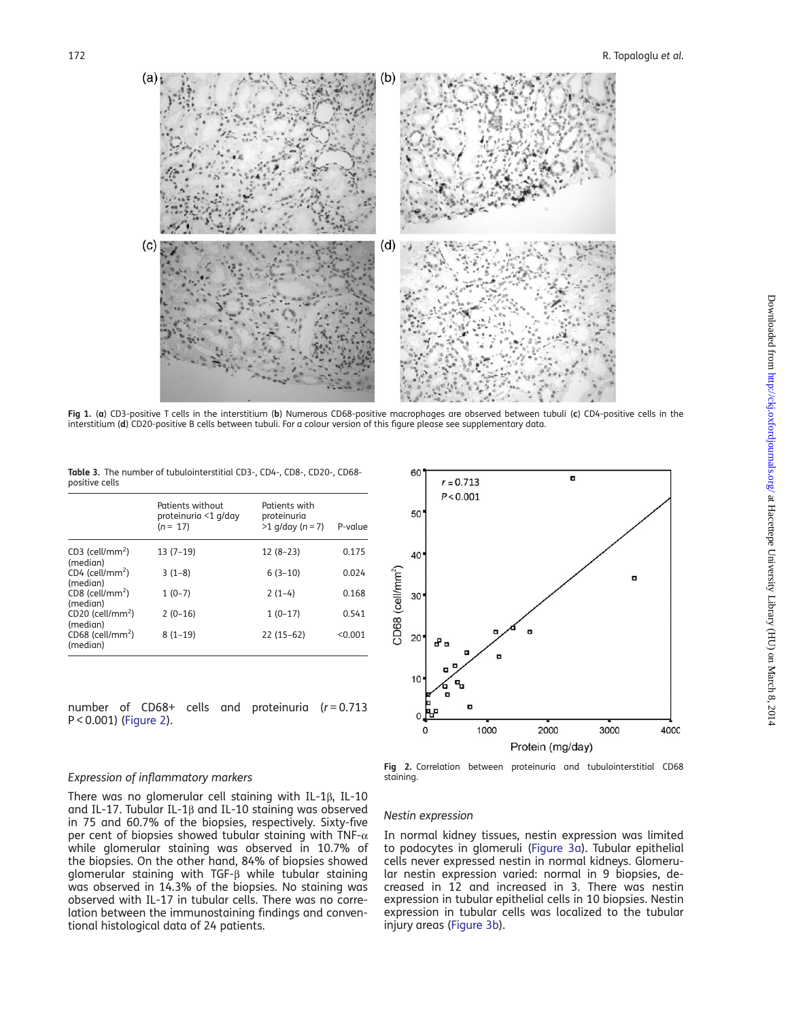<span id="page-3-0"></span>

Fig 1. (a) CD3-positive T cells in the interstitium (b) Numerous CD68-positive macrophages are observed between tubuli (c) CD4-positive cells in the interstitium (d) CD20-positive B cells between tubuli. For a colour version of this figure please see supplementary data.

Table 3. The number of tubulointerstitial CD3-, CD4-, CD8-, CD20-, CD68 positive cells

|                                            | Patients without<br>proteinuria <1 g/day<br>$(n = 17)$ | Patients with<br>proteinuria<br>$>1$ g/day (n = 7) | P-value |
|--------------------------------------------|--------------------------------------------------------|----------------------------------------------------|---------|
| CD3 (cell/mm <sup>2</sup> )<br>(median)    | $13(7-19)$                                             | $12(8-23)$                                         | 0.175   |
| $CD4$ (cell/mm <sup>2</sup> )<br>(median)  | $3(1-8)$                                               | $6(3-10)$                                          | 0.024   |
| $CD8$ (cell/mm <sup>2</sup> )<br>(median)  | $1(0-7)$                                               | $2(1-4)$                                           | 0.168   |
| $CD20$ (cell/mm <sup>2</sup> )<br>(median) | $2(0-16)$                                              | $1(0-17)$                                          | 0.541   |
| CD68 (cell/mm <sup>2</sup> )<br>(median)   | $8(1-19)$                                              | $22(15-62)$                                        | < 0.001 |

number of  $CD68+$  cells and proteinuria ( $r = 0.713$ P < 0.001) (Figure 2).



#### Expression of inflammatory markers

There was no glomerular cell staining with IL-1β, IL-10 and IL-17. Tubular IL-1β and IL-10 staining was observed in 75 and 60.7% of the biopsies, respectively. Sixty-five per cent of biopsies showed tubular staining with TNF- $\alpha$ while glomerular staining was observed in 10.7% of the biopsies. On the other hand, 84% of biopsies showed glomerular staining with TGF-β while tubular staining was observed in 14.3% of the biopsies. No staining was observed with IL-17 in tubular cells. There was no correlation between the immunostaining findings and conventional histological data of 24 patients.

Fig 2. Correlation between proteinuria and tubulointerstitial CD68 staining.

## Nestin expression

In normal kidney tissues, nestin expression was limited to podocytes in glomeruli [\(Figure 3a\)](#page-4-0). Tubular epithelial cells never expressed nestin in normal kidneys. Glomerular nestin expression varied: normal in 9 biopsies, decreased in 12 and increased in 3. There was nestin expression in tubular epithelial cells in 10 biopsies. Nestin expression in tubular cells was localized to the tubular injury areas ([Figure 3b\)](#page-4-0).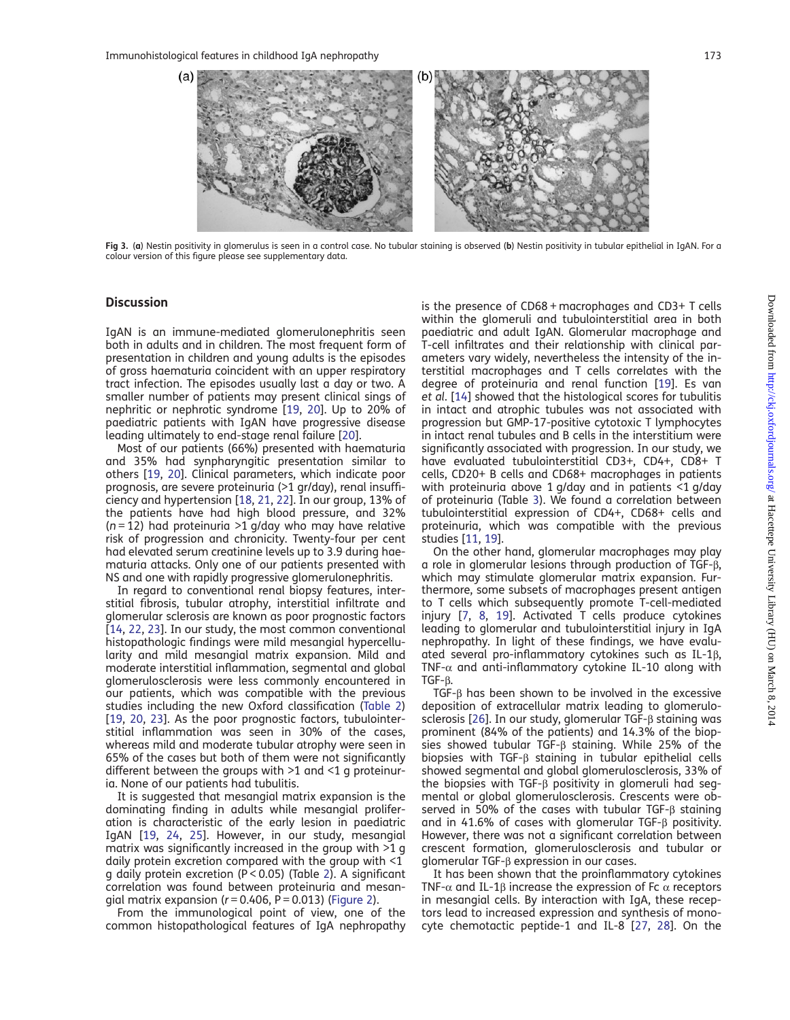<span id="page-4-0"></span>

Fig 3. (a) Nestin positivity in glomerulus is seen in a control case. No tubular staining is observed (b) Nestin positivity in tubular epithelial in IgAN. For a colour version of this figure please see supplementary data.

## **Discussion**

IgAN is an immune-mediated glomerulonephritis seen both in adults and in children. The most frequent form of presentation in children and young adults is the episodes of gross haematuria coincident with an upper respiratory tract infection. The episodes usually last a day or two. A smaller number of patients may present clinical sings of nephritic or nephrotic syndrome [\[19](#page-5-0), [20](#page-5-0)]. Up to 20% of paediatric patients with IgAN have progressive disease leading ultimately to end-stage renal failure [\[20](#page-5-0)].

Most of our patients (66%) presented with haematuria and 35% had synpharyngitic presentation similar to others [\[19](#page-5-0), [20](#page-5-0)]. Clinical parameters, which indicate poor prognosis, are severe proteinuria (>1 gr/day), renal insufficiency and hypertension [\[18](#page-5-0), [21,](#page-5-0) [22\]](#page-5-0). In our group, 13% of the patients have had high blood pressure, and 32%  $(n = 12)$  had proteinuria >1 g/day who may have relative risk of progression and chronicity. Twenty-four per cent had elevated serum creatinine levels up to 3.9 during haematuria attacks. Only one of our patients presented with NS and one with rapidly progressive glomerulonephritis.

In regard to conventional renal biopsy features, interstitial fibrosis, tubular atrophy, interstitial infiltrate and glomerular sclerosis are known as poor prognostic factors [[14](#page-5-0), [22,](#page-5-0) [23\]](#page-6-0). In our study, the most common conventional histopathologic findings were mild mesangial hypercellularity and mild mesangial matrix expansion. Mild and moderate interstitial inflammation, segmental and global glomerulosclerosis were less commonly encountered in our patients, which was compatible with the previous studies including the new Oxford classification ([Table 2\)](#page-2-0) [[19](#page-5-0), [20,](#page-5-0) [23\]](#page-6-0). As the poor prognostic factors, tubulointerstitial inflammation was seen in 30% of the cases, whereas mild and moderate tubular atrophy were seen in 65% of the cases but both of them were not significantly different between the groups with  $>1$  and  $<1$  g proteinuria. None of our patients had tubulitis.

It is suggested that mesangial matrix expansion is the dominating finding in adults while mesangial proliferation is characteristic of the early lesion in paediatric IgAN [[19](#page-5-0), [24](#page-6-0), [25](#page-6-0)]. However, in our study, mesangial matrix was significantly increased in the group with >1 g daily protein excretion compared with the group with <1 g daily protein excretion (P < 0.05) (Table [2\)](#page-2-0). A significant correlation was found between proteinuria and mesangial matrix expansion ( $r = 0.406$ ,  $P = 0.013$ ) [\(Figure 2](#page-3-0)).

From the immunological point of view, one of the common histopathological features of IgA nephropathy is the presence of CD68 + macrophages and CD3+ T cells within the glomeruli and tubulointerstitial area in both paediatric and adult IgAN. Glomerular macrophage and T-cell infiltrates and their relationship with clinical parameters vary widely, nevertheless the intensity of the interstitial macrophages and T cells correlates with the degree of proteinuria and renal function [\[19](#page-5-0)]. Es van et al. [[14\]](#page-5-0) showed that the histological scores for tubulitis in intact and atrophic tubules was not associated with progression but GMP-17-positive cytotoxic T lymphocytes in intact renal tubules and B cells in the interstitium were significantly associated with progression. In our study, we have evaluated tubulointerstitial CD3+, CD4+, CD8+ T cells, CD20+ B cells and CD68+ macrophages in patients with proteinuria above 1 g/day and in patients <1 g/day of proteinuria (Table [3](#page-3-0)). We found a correlation between tubulointerstitial expression of CD4+, CD68+ cells and proteinuria, which was compatible with the previous studies [[11,](#page-5-0) [19\]](#page-5-0).

On the other hand, glomerular macrophages may play a role in glomerular lesions through production of TGF-β, which may stimulate glomerular matrix expansion. Furthermore, some subsets of macrophages present antigen to T cells which subsequently promote T-cell-mediated injury [\[7](#page-5-0), [8](#page-5-0), [19\]](#page-5-0). Activated T cells produce cytokines leading to glomerular and tubulointerstitial injury in IgA nephropathy. In light of these findings, we have evaluated several pro-inflammatory cytokines such as IL-1β, TNF- $\alpha$  and anti-inflammatory cytokine IL-10 along with TGF-β.

TGF-β has been shown to be involved in the excessive deposition of extracellular matrix leading to glomerulosclerosis [\[26](#page-6-0)]. In our study, glomerular TGF-β staining was prominent (84% of the patients) and 14.3% of the biopsies showed tubular TGF-β staining. While 25% of the biopsies with TGF-β staining in tubular epithelial cells showed segmental and global glomerulosclerosis, 33% of the biopsies with TGF-β positivity in glomeruli had segmental or global glomerulosclerosis. Crescents were observed in 50% of the cases with tubular TGF-β staining and in 41.6% of cases with glomerular TGF-β positivity. However, there was not a significant correlation between crescent formation, glomerulosclerosis and tubular or glomerular TGF-β expression in our cases.

It has been shown that the proinflammatory cytokines TNF- $\alpha$  and IL-1 $\beta$  increase the expression of Fc  $\alpha$  receptors in mesangial cells. By interaction with IgA, these receptors lead to increased expression and synthesis of monocyte chemotactic peptide-1 and IL-8 [\[27](#page-6-0), [28\]](#page-6-0). On the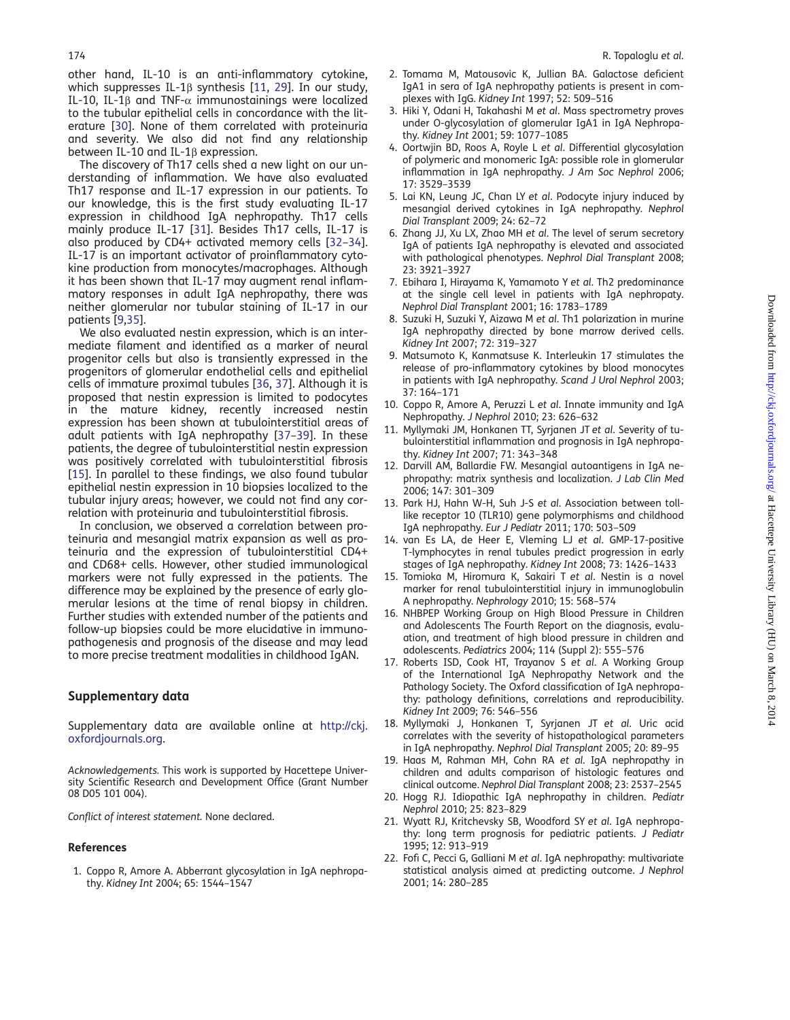<span id="page-5-0"></span>other hand, IL-10 is an anti-inflammatory cytokine, which suppresses IL-1β synthesis [11, [29\]](#page-6-0). In our study, IL-10, IL-1 $\beta$  and TNF- $\alpha$  immunostainings were localized to the tubular epithelial cells in concordance with the literature [\[30](#page-6-0)]. None of them correlated with proteinuria and severity. We also did not find any relationship between IL-10 and IL-1β expression.

The discovery of Th17 cells shed a new light on our understanding of inflammation. We have also evaluated Th17 response and IL-17 expression in our patients. To our knowledge, this is the first study evaluating IL-17 expression in childhood IgA nephropathy. Th17 cells mainly produce IL-17 [\[31](#page-6-0)]. Besides Th17 cells, IL-17 is also produced by CD4+ activated memory cells [\[32](#page-6-0)–[34](#page-6-0)]. IL-17 is an important activator of proinflammatory cytokine production from monocytes/macrophages. Although it has been shown that IL-17 may augment renal inflammatory responses in adult IgA nephropathy, there was neither glomerular nor tubular staining of IL-17 in our patients [9[,35](#page-6-0)].

We also evaluated nestin expression, which is an intermediate filament and identified as a marker of neural progenitor cells but also is transiently expressed in the progenitors of glomerular endothelial cells and epithelial cells of immature proximal tubules [[36,](#page-6-0) [37\]](#page-6-0). Although it is proposed that nestin expression is limited to podocytes in the mature kidney, recently increased nestin expression has been shown at tubulointerstitial areas of adult patients with IgA nephropathy [\[37](#page-6-0)–[39](#page-6-0)]. In these patients, the degree of tubulointerstitial nestin expression was positively correlated with tubulointerstitial fibrosis [15]. In parallel to these findings, we also found tubular epithelial nestin expression in 10 biopsies localized to the tubular injury areas; however, we could not find any correlation with proteinuria and tubulointerstitial fibrosis.

In conclusion, we observed a correlation between proteinuria and mesangial matrix expansion as well as proteinuria and the expression of tubulointerstitial CD4+ and CD68+ cells. However, other studied immunological markers were not fully expressed in the patients. The difference may be explained by the presence of early glomerular lesions at the time of renal biopsy in children. Further studies with extended number of the patients and follow-up biopsies could be more elucidative in immunopathogenesis and prognosis of the disease and may lead to more precise treatment modalities in childhood IgAN.

#### Supplementary data

[Supplementary data are available online at](http://ndtplus.oxfordjournals.org/lookup/suppl/doi:10.1093/ckj/sft004/-/DC1) [http://ckj.](http://ckj.oxfordjournals.org) [oxfordjournals.org](http://ckj.oxfordjournals.org).

Acknowledgements. This work is supported by Hacettepe University Scientific Research and Development Office (Grant Number 08 D05 101 004).

Conflict of interest statement. None declared.

#### References

1. Coppo R, Amore A. Abberrant glycosylation in IgA nephropathy. Kidney Int 2004; 65: 1544–1547

- 2. Tomama M, Matousovic K, Jullian BA. Galactose deficient IgA1 in sera of IgA nephropathy patients is present in complexes with IgG. Kidney Int 1997; 52: 509–516
- 3. Hiki Y, Odani H, Takahashi M et al. Mass spectrometry proves under O-glycosylation of glomerular IgA1 in IgA Nephropathy. Kidney Int 2001; 59: 1077–1085
- 4. Oortwjin BD, Roos A, Royle L et al. Differential glycosylation of polymeric and monomeric IgA: possible role in glomerular inflammation in IgA nephropathy. J Am Soc Nephrol 2006; 17: 3529–3539
- 5. Lai KN, Leung JC, Chan LY et al. Podocyte injury induced by mesangial derived cytokines in IgA nephropathy. Nephrol Dial Transplant 2009; 24: 62–72
- 6. Zhang JJ, Xu LX, Zhao MH et al. The level of serum secretory IgA of patients IgA nephropathy is elevated and associated with pathological phenotypes. Nephrol Dial Transplant 2008; 23: 3921–3927
- 7. Ebihara I, Hirayama K, Yamamoto Y et al. Th2 predominance at the single cell level in patients with IgA nephropaty. Nephrol Dial Transplant 2001; 16: 1783–1789
- 8. Suzuki H, Suzuki Y, Aizawa M et al. Th1 polarization in murine IgA nephropathy directed by bone marrow derived cells. Kidney Int 2007; 72: 319–327
- 9. Matsumoto K, Kanmatsuse K. Interleukin 17 stimulates the release of pro-inflammatory cytokines by blood monocytes in patients with IgA nephropathy. Scand J Urol Nephrol 2003; 37: 164–171
- 10. Coppo R, Amore A, Peruzzi L et al. Innate immunity and IgA Nephropathy. J Nephrol 2010; 23: 626–632
- 11. Myllymaki JM, Honkanen TT, Syrjanen JT et al. Severity of tubulointerstitial inflammation and prognosis in IgA nephropathy. Kidney Int 2007; 71: 343–348
- 12. Darvill AM, Ballardie FW. Mesangial autoantigens in IgA nephropathy: matrix synthesis and localization. J Lab Clin Med 2006; 147: 301–309
- 13. Park HJ, Hahn W-H, Suh J-S et al. Association between tolllike receptor 10 (TLR10) gene polymorphisms and childhood IgA nephropathy. Eur J Pediatr 2011; 170: 503–509
- 14. van Es LA, de Heer E, Vleming LJ et al. GMP-17-positive T-lymphocytes in renal tubules predict progression in early stages of IgA nephropathy. Kidney Int 2008; 73: 1426–1433
- 15. Tomioka M, Hiromura K, Sakairi T et al. Nestin is a novel marker for renal tubulointerstitial injury in immunoglobulin A nephropathy. Nephrology 2010; 15: 568–574
- 16. NHBPEP Working Group on High Blood Pressure in Children and Adolescents The Fourth Report on the diagnosis, evaluation, and treatment of high blood pressure in children and adolescents. Pediatrics 2004; 114 (Suppl 2): 555–576
- 17. Roberts ISD, Cook HT, Trayanov S et al. A Working Group of the International IgA Nephropathy Network and the Pathology Society. The Oxford classification of IgA nephropathy: pathology definitions, correlations and reproducibility. Kidney Int 2009; 76: 546–556
- 18. Myllymaki J, Honkanen T, Syrjanen JT et al. Uric acid correlates with the severity of histopathological parameters in IgA nephropathy. Nephrol Dial Transplant 2005; 20: 89–95
- 19. Haas M, Rahman MH, Cohn RA et al. IgA nephropathy in children and adults comparison of histologic features and clinical outcome. Nephrol Dial Transplant 2008; 23: 2537–2545
- 20. Hogg RJ. Idiopathic IgA nephropathy in children. Pediatr Nephrol 2010; 25: 823–829
- 21. Wyatt RJ, Kritchevsky SB, Woodford SY et al. IgA nephropathy: long term prognosis for pediatric patients. J Pediatr 1995; 12: 913–919
- 22. Fofi C, Pecci G, Galliani M et al. IgA nephropathy: multivariate statistical analysis aimed at predicting outcome. J Nephrol 2001; 14: 280–285